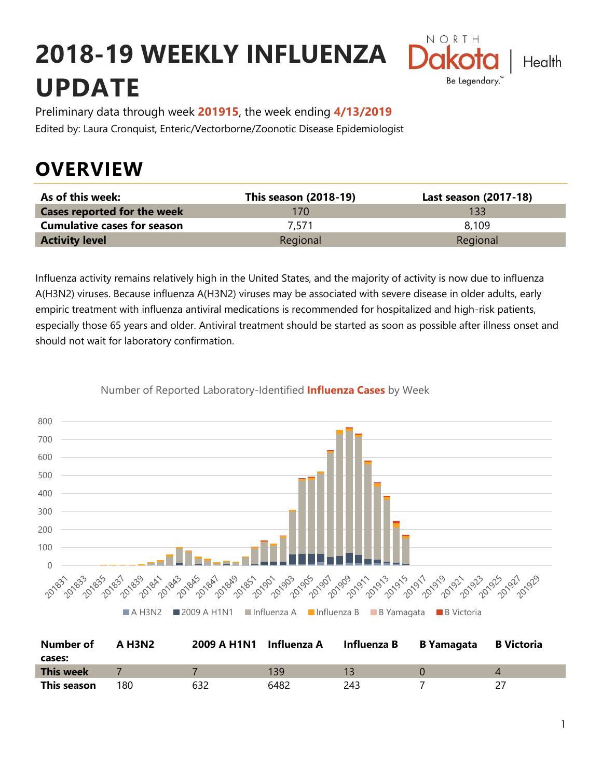# **2018-19 WEEKLY INFLUENZA UPDATE**



Preliminary data through week **201915**, the week ending **4/13/2019** Edited by: Laura Cronquist, Enteric/Vectorborne/Zoonotic Disease Epidemiologist

## **OVERVIEW**

| As of this week:                   | <b>This season (2018-19)</b> | Last season (2017-18) |
|------------------------------------|------------------------------|-----------------------|
| <b>Cases reported for the week</b> | 170                          | 133                   |
| <b>Cumulative cases for season</b> | 7.571                        | 8.109                 |
| <b>Activity level</b>              | Regional                     | Regional              |

Influenza activity remains relatively high in the United States, and the majority of activity is now due to influenza A(H3N2) viruses. Because influenza A(H3N2) viruses may be associated with severe disease in older adults, early empiric treatment with influenza antiviral medications is recommended for hospitalized and high-risk patients, especially those 65 years and older. Antiviral treatment should be started as soon as possible after illness onset and should not wait for laboratory confirmation.



Number of Reported Laboratory-Identified **Influenza Cases** by Week

| <b>Number of</b><br>cases: | A H3N2 | 2009 A H1N1 | Influenza A | Influenza B | B Yamagata | <b>B</b> Victoria |
|----------------------------|--------|-------------|-------------|-------------|------------|-------------------|
| This week                  |        |             | 139         |             |            |                   |
| This season                | 180    | 632         | 6482        | 243         |            |                   |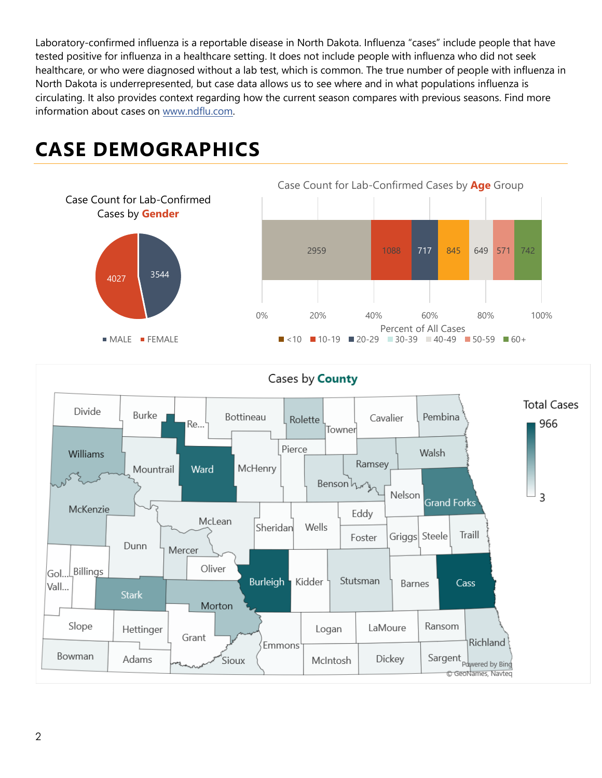Laboratory-confirmed influenza is a reportable disease in North Dakota. Influenza "cases" include people that have tested positive for influenza in a healthcare setting. It does not include people with influenza who did not seek healthcare, or who were diagnosed without a lab test, which is common. The true number of people with influenza in North Dakota is underrepresented, but case data allows us to see where and in what populations influenza is circulating. It also provides context regarding how the current season compares with previous seasons. Find more information about cases on [www.ndflu.com.](file://///nd.gov/doh/DOH-DATA/MSS/DC/PROGRAM/IMMUNE/Immunize/Influenza/Inf18-19/Surveillance/Weekly%20Summaries/www.ndflu.com)

## **CASE DEMOGRAPHICS**





#### Cases by **County**

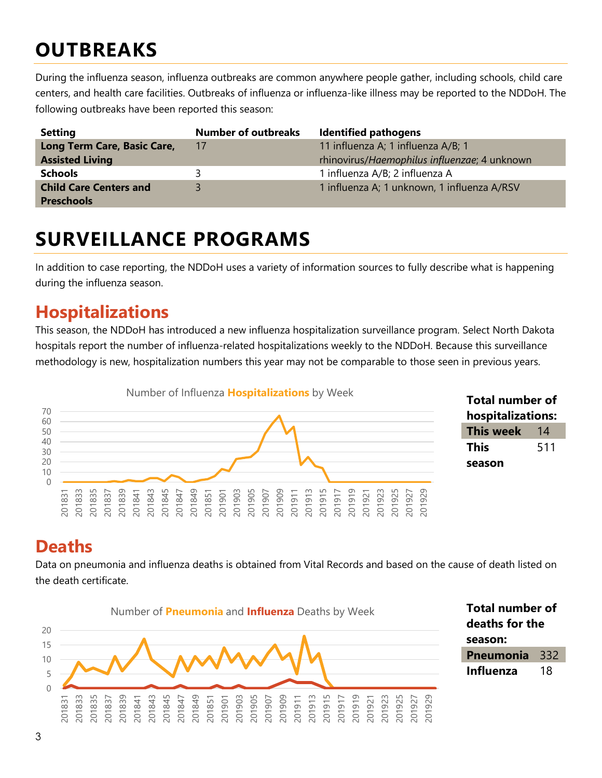## **OUTBREAKS**

During the influenza season, influenza outbreaks are common anywhere people gather, including schools, child care centers, and health care facilities. Outbreaks of influenza or influenza-like illness may be reported to the NDDoH. The following outbreaks have been reported this season:

| <b>Setting</b>                | <b>Number of outbreaks</b> | <b>Identified pathogens</b>                  |
|-------------------------------|----------------------------|----------------------------------------------|
| Long Term Care, Basic Care,   | 17                         | 11 influenza A; 1 influenza A/B; 1           |
| <b>Assisted Living</b>        |                            | rhinovirus/Haemophilus influenzae; 4 unknown |
| <b>Schools</b>                |                            | 1 influenza A/B; 2 influenza A               |
| <b>Child Care Centers and</b> |                            | 1 influenza A; 1 unknown, 1 influenza A/RSV  |
| <b>Preschools</b>             |                            |                                              |

### **SURVEILLANCE PROGRAMS**

In addition to case reporting, the NDDoH uses a variety of information sources to fully describe what is happening during the influenza season.

#### **Hospitalizations**

This season, the NDDoH has introduced a new influenza hospitalization surveillance program. Select North Dakota hospitals report the number of influenza-related hospitalizations weekly to the NDDoH. Because this surveillance methodology is new, hospitalization numbers this year may not be comparable to those seen in previous years.



#### **Total number of hospitalizations: This week** 14 **This season**

#### **Deaths**

Data on pneumonia and influenza deaths is obtained from Vital Records and based on the cause of death listed on the death certificate.

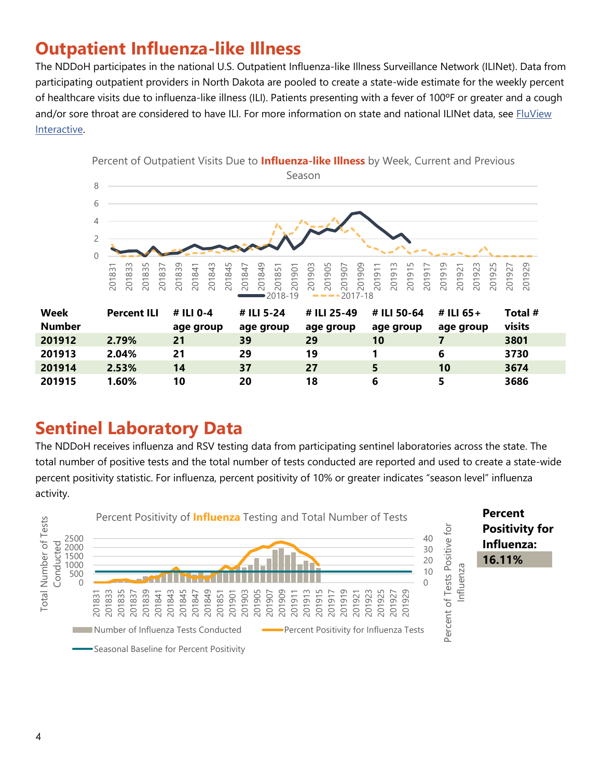### **Outpatient Influenza-like Illness**

The NDDoH participates in the national U.S. Outpatient Influenza-like Illness Surveillance Network (ILINet). Data from participating outpatient providers in North Dakota are pooled to create a state-wide estimate for the weekly percent of healthcare visits due to influenza-like illness (ILI). Patients presenting with a fever of 100ºF or greater and a cough and/or sore throat are considered to have ILI. For more information on state and national ILINet data, see FluView [Interactive.](https://gis.cdc.gov/grasp/fluview/fluportaldashboard.html)



#### **Sentinel Laboratory Data**

The NDDoH receives influenza and RSV testing data from participating sentinel laboratories across the state. The total number of positive tests and the total number of tests conducted are reported and used to create a state-wide percent positivity statistic. For influenza, percent positivity of 10% or greater indicates "season level" influenza activity.

 **2.53% 14 37 27 5 10 3674 1.60% 10 20 18 6 5 3686**

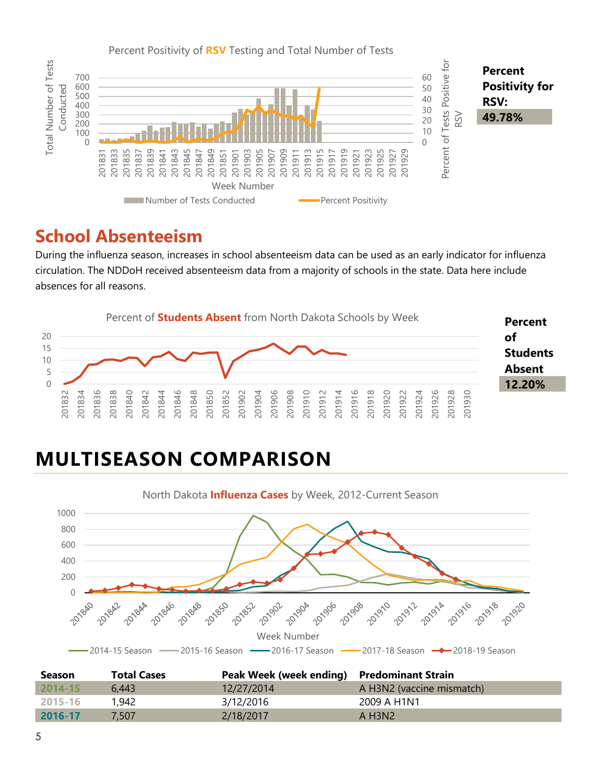

#### **School Absenteeism**

During the influenza season, increases in school absenteeism data can be used as an early indicator for influenza circulation. The NDDoH received absenteeism data from a majority of schools in the state. Data here include absences for all reasons.



## **MULTISEASON COMPARISON**



| <b>Season</b> | <b>Total Cases</b> | Peak Week (week ending) Predominant Strain |                                 |
|---------------|--------------------|--------------------------------------------|---------------------------------|
| $2014 - 15$   | 6.443              | 12/27/2014                                 | A H3N2 (vaccine mismatch)       |
| 2015-16       | 1.942              | 3/12/2016                                  | 2009 A H1N1                     |
| 2016-17       | 7.507              | 2/18/2017                                  | A H <sub>3</sub> N <sub>2</sub> |